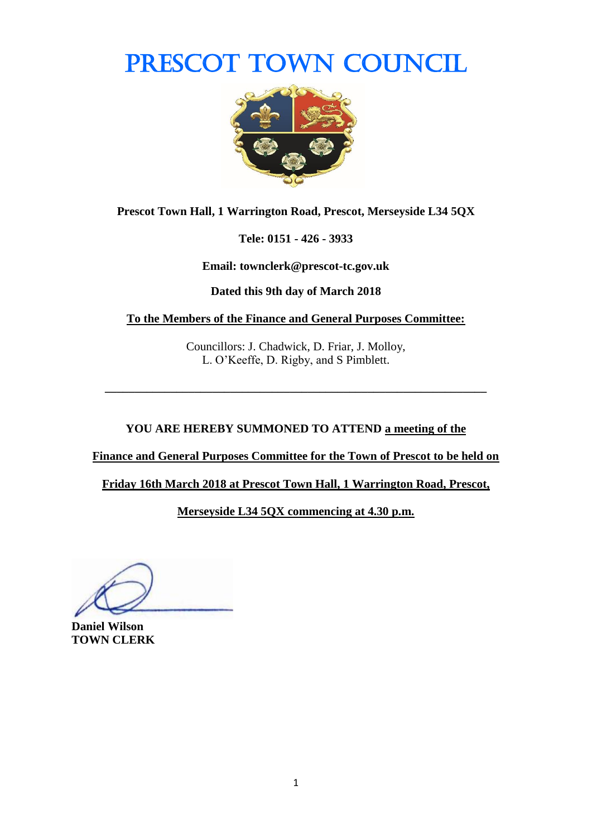PRESCOT TOWN COUNCIL



**Prescot Town Hall, 1 Warrington Road, Prescot, Merseyside L34 5QX**

**Tele: 0151 - 426 - 3933**

**Email: townclerk@prescot-tc.gov.uk**

**Dated this 9th day of March 2018**

**To the Members of the Finance and General Purposes Committee:**

Councillors: J. Chadwick, D. Friar, J. Molloy, L. O'Keeffe, D. Rigby, and S Pimblett.

**\_\_\_\_\_\_\_\_\_\_\_\_\_\_\_\_\_\_\_\_\_\_\_\_\_\_\_\_\_\_\_\_\_\_\_\_\_\_\_\_\_\_\_\_\_\_\_\_\_\_\_\_\_\_\_\_\_\_\_\_\_\_\_\_**

**YOU ARE HEREBY SUMMONED TO ATTEND a meeting of the** 

**Finance and General Purposes Committee for the Town of Prescot to be held on** 

**Friday 16th March 2018 at Prescot Town Hall, 1 Warrington Road, Prescot,** 

**Merseyside L34 5QX commencing at 4.30 p.m.**

**Daniel Wilson TOWN CLERK**